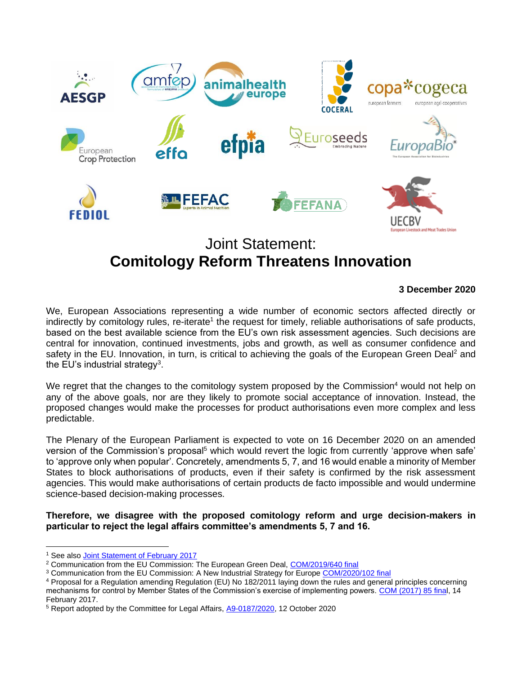

## Joint Statement: **Comitology Reform Threatens Innovation**

## **3 December 2020**

We, European Associations representing a wide number of economic sectors affected directly or indirectly by comitology rules, re-iterate<sup>1</sup> the request for timely, reliable authorisations of safe products, based on the best available science from the EU's own risk assessment agencies. Such decisions are central for innovation, continued investments, jobs and growth, as well as consumer confidence and safety in the EU. Innovation, in turn, is critical to achieving the goals of the European Green Deal<sup>2</sup> and the EU's industrial strategy<sup>3</sup>.

We regret that the changes to the comitology system proposed by the Commission<sup>4</sup> would not help on any of the above goals, nor are they likely to promote social acceptance of innovation. Instead, the proposed changes would make the processes for product authorisations even more complex and less predictable.

The Plenary of the European Parliament is expected to vote on 16 December 2020 on an amended version of the Commission's proposal<sup>5</sup> which would revert the logic from currently 'approve when safe' to 'approve only when popular'. Concretely, amendments 5, 7, and 16 would enable a minority of Member States to block authorisations of products, even if their safety is confirmed by the risk assessment agencies. This would make authorisations of certain products de facto impossible and would undermine science-based decision-making processes.

**Therefore, we disagree with the proposed comitology reform and urge decision-makers in particular to reject the legal affairs committee's amendments 5, 7 and 16.**

<sup>1</sup> See also [Joint Statement of February 2017](https://www.europabio.org/sites/default/files/Concerned%20associations%20statement%20on%20Comitology%20-%2013.02.2017_0.pdf)

<sup>&</sup>lt;sup>2</sup> Communication from the EU Commission: The European Green Deal, [COM/2019/640 final](https://eur-lex.europa.eu/legal-content/EN/TXT/?qid=1576150542719&uri=COM%3A2019%3A640%3AFIN)

<sup>&</sup>lt;sup>3</sup> Communication from the EU Commission: A New Industrial Strategy for Europ[e COM/2020/102 final](https://eur-lex.europa.eu/legal-content/EN/TXT/?qid=1593086905382&uri=CELEX%3A52020DC0102)

<sup>4</sup> Proposal for a Regulation amending Regulation (EU) No 182/2011 laying down the rules and general principles concerning mechanisms for control by Member States of the Commission's exercise of implementing powers. [COM \(2017\) 85 final,](https://www.europarl.europa.eu/RegData/docs_autres_institutions/commission_europeenne/com/2017/0085/COM_COM(2017)0085_EN.pdf) 14 February 2017.

<sup>&</sup>lt;sup>5</sup> Report adopted by the Committee for Legal Affairs, [A9-0187/2020,](https://www.europarl.europa.eu/doceo/document/A-9-2020-0187_EN.pdf) 12 October 2020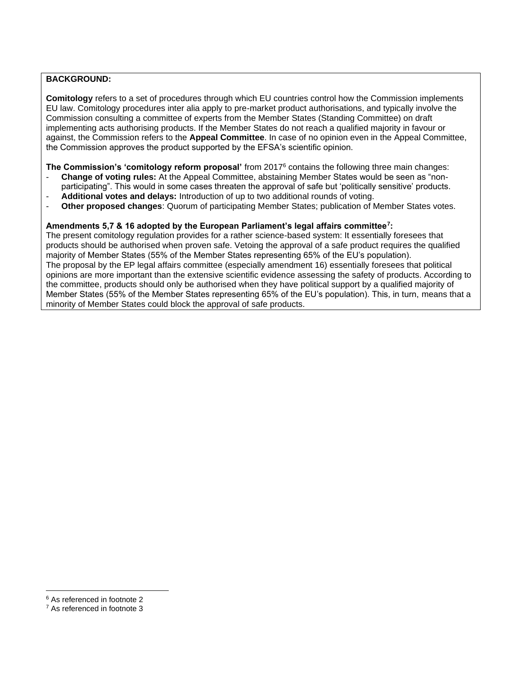## **BACKGROUND:**

**Comitology** refers to a set of procedures through which EU countries control how the Commission implements EU law. Comitology procedures inter alia apply to pre-market product authorisations, and typically involve the Commission consulting a committee of experts from the Member States (Standing Committee) on draft implementing acts authorising products. If the Member States do not reach a qualified majority in favour or against, the Commission refers to the **Appeal Committee**. In case of no opinion even in the Appeal Committee, the Commission approves the product supported by the EFSA's scientific opinion.

**The Commission's 'comitology reform proposal'** from 2017<sup>6</sup> contains the following three main changes:

- **Change of voting rules:** At the Appeal Committee, abstaining Member States would be seen as "nonparticipating". This would in some cases threaten the approval of safe but 'politically sensitive' products.
- **Additional votes and delays:** Introduction of up to two additional rounds of voting.
- **Other proposed changes**: Quorum of participating Member States; publication of Member States votes.

## **Amendments 5,7 & 16 adopted by the European Parliament's legal affairs committee<sup>7</sup> :**

The present comitology regulation provides for a rather science-based system: It essentially foresees that products should be authorised when proven safe. Vetoing the approval of a safe product requires the qualified majority of Member States (55% of the Member States representing 65% of the EU's population). The proposal by the EP legal affairs committee (especially amendment 16) essentially foresees that political opinions are more important than the extensive scientific evidence assessing the safety of products. According to the committee, products should only be authorised when they have political support by a qualified majority of Member States (55% of the Member States representing 65% of the EU's population). This, in turn, means that a minority of Member States could block the approval of safe products.

<sup>6</sup> As referenced in footnote 2

<sup>7</sup> As referenced in footnote 3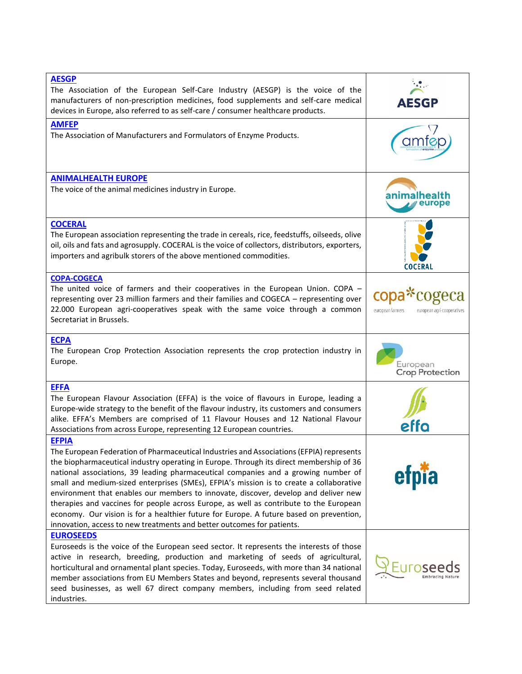| <b>AESGP</b><br>The Association of the European Self-Care Industry (AESGP) is the voice of the<br>manufacturers of non-prescription medicines, food supplements and self-care medical<br>devices in Europe, also referred to as self-care / consumer healthcare products.                                                                                                                                                                                                                                                                                                                                                                                                                                                  | <b>AESGP</b>                                   |
|----------------------------------------------------------------------------------------------------------------------------------------------------------------------------------------------------------------------------------------------------------------------------------------------------------------------------------------------------------------------------------------------------------------------------------------------------------------------------------------------------------------------------------------------------------------------------------------------------------------------------------------------------------------------------------------------------------------------------|------------------------------------------------|
| <b>AMFEP</b>                                                                                                                                                                                                                                                                                                                                                                                                                                                                                                                                                                                                                                                                                                               |                                                |
| The Association of Manufacturers and Formulators of Enzyme Products.                                                                                                                                                                                                                                                                                                                                                                                                                                                                                                                                                                                                                                                       |                                                |
| <b>ANIMALHEALTH EUROPE</b>                                                                                                                                                                                                                                                                                                                                                                                                                                                                                                                                                                                                                                                                                                 |                                                |
| The voice of the animal medicines industry in Europe.                                                                                                                                                                                                                                                                                                                                                                                                                                                                                                                                                                                                                                                                      | nimalhealth<br>europe                          |
| <b>COCERAL</b>                                                                                                                                                                                                                                                                                                                                                                                                                                                                                                                                                                                                                                                                                                             |                                                |
| The European association representing the trade in cereals, rice, feedstuffs, oilseeds, olive<br>oil, oils and fats and agrosupply. COCERAL is the voice of collectors, distributors, exporters,<br>importers and agribulk storers of the above mentioned commodities.                                                                                                                                                                                                                                                                                                                                                                                                                                                     | COCERAL                                        |
| <b>COPA-COGECA</b>                                                                                                                                                                                                                                                                                                                                                                                                                                                                                                                                                                                                                                                                                                         |                                                |
| The united voice of farmers and their cooperatives in the European Union. COPA -<br>representing over 23 million farmers and their families and COGECA - representing over<br>22.000 European agri-cooperatives speak with the same voice through a common<br>Secretariat in Brussels.                                                                                                                                                                                                                                                                                                                                                                                                                                     | european farmers<br>european agri-cooperatives |
| <b>ECPA</b>                                                                                                                                                                                                                                                                                                                                                                                                                                                                                                                                                                                                                                                                                                                |                                                |
| The European Crop Protection Association represents the crop protection industry in<br>Europe.                                                                                                                                                                                                                                                                                                                                                                                                                                                                                                                                                                                                                             | European<br>Crop Protection                    |
| <b>EFFA</b>                                                                                                                                                                                                                                                                                                                                                                                                                                                                                                                                                                                                                                                                                                                |                                                |
| The European Flavour Association (EFFA) is the voice of flavours in Europe, leading a<br>Europe-wide strategy to the benefit of the flavour industry, its customers and consumers<br>alike. EFFA's Members are comprised of 11 Flavour Houses and 12 National Flavour<br>Associations from across Europe, representing 12 European countries.                                                                                                                                                                                                                                                                                                                                                                              | effo                                           |
| <b>EFPIA</b>                                                                                                                                                                                                                                                                                                                                                                                                                                                                                                                                                                                                                                                                                                               |                                                |
| The European Federation of Pharmaceutical Industries and Associations (EFPIA) represents<br>the biopharmaceutical industry operating in Europe. Through its direct membership of 36<br>national associations, 39 leading pharmaceutical companies and a growing number of<br>small and medium-sized enterprises (SMEs), EFPIA's mission is to create a collaborative<br>environment that enables our members to innovate, discover, develop and deliver new<br>therapies and vaccines for people across Europe, as well as contribute to the European<br>economy. Our vision is for a healthier future for Europe. A future based on prevention,<br>innovation, access to new treatments and better outcomes for patients. |                                                |
| <b>EUROSEEDS</b>                                                                                                                                                                                                                                                                                                                                                                                                                                                                                                                                                                                                                                                                                                           |                                                |
| Euroseeds is the voice of the European seed sector. It represents the interests of those<br>active in research, breeding, production and marketing of seeds of agricultural,<br>horticultural and ornamental plant species. Today, Euroseeds, with more than 34 national<br>member associations from EU Members States and beyond, represents several thousand<br>seed businesses, as well 67 direct company members, including from seed related<br>industries.                                                                                                                                                                                                                                                           |                                                |